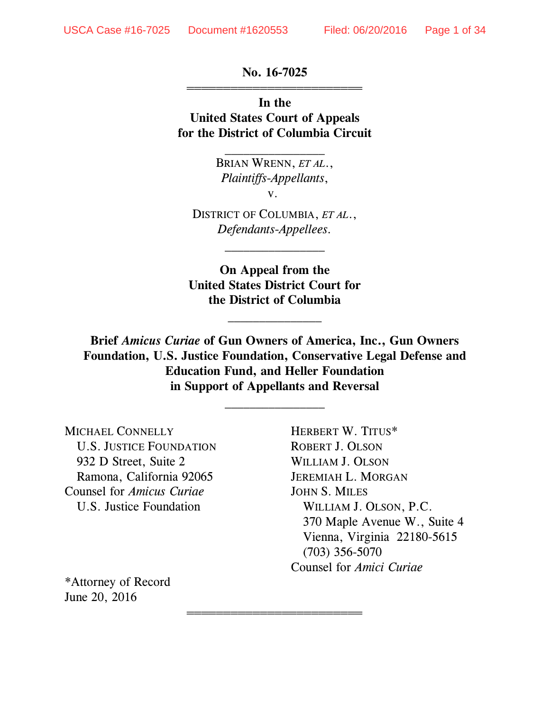**No. 16-7025** 444444444444444444444444

**In the United States Court of Appeals for the District of Columbia Circuit**

> BRIAN WRENN, *ET AL*., *Plaintiffs-Appellants*, v.

 $\frac{1}{2}$ 

DISTRICT OF COLUMBIA, *ET AL*., *Defendants-Appellees.*

 $\overline{\phantom{a}}$  , where  $\overline{\phantom{a}}$ 

**On Appeal from the United States District Court for the District of Columbia**

 $\overline{\phantom{a}}$  , where  $\overline{\phantom{a}}$ 

**Brief** *Amicus Curiae* **of Gun Owners of America, Inc., Gun Owners Foundation, U.S. Justice Foundation, Conservative Legal Defense and Education Fund, and Heller Foundation in Support of Appellants and Reversal**

 $\frac{1}{2}$ 

444444444444444444444444

MICHAEL CONNELLY HERBERT W. TITUS\* U.S. JUSTICE FOUNDATION ROBERT J. OLSON 932 D Street, Suite 2 WILLIAM J. OLSON Ramona, California 92065 JEREMIAH L. MORGAN Counsel for *Amicus Curiae* JOHN S. MILES

U.S. Justice Foundation WILLIAM J. OLSON, P.C. 370 Maple Avenue W., Suite 4 Vienna, Virginia 22180-5615 (703) 356-5070 Counsel for *Amici Curiae*

\*Attorney of Record June 20, 2016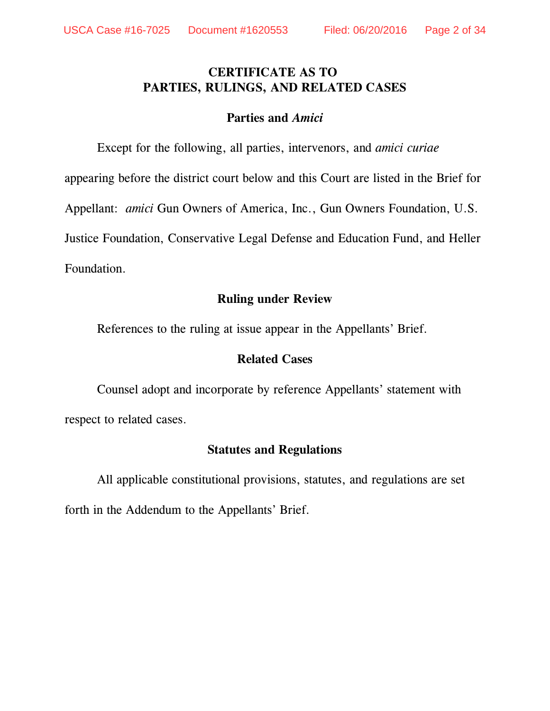## **CERTIFICATE AS TO PARTIES, RULINGS, AND RELATED CASES**

#### **Parties and** *Amici*

Except for the following, all parties, intervenors, and *amici curiae* appearing before the district court below and this Court are listed in the Brief for Appellant: *amici* Gun Owners of America, Inc., Gun Owners Foundation, U.S. Justice Foundation, Conservative Legal Defense and Education Fund, and Heller Foundation.

#### **Ruling under Review**

References to the ruling at issue appear in the Appellants' Brief.

#### **Related Cases**

Counsel adopt and incorporate by reference Appellants' statement with respect to related cases.

#### **Statutes and Regulations**

All applicable constitutional provisions, statutes, and regulations are set

forth in the Addendum to the Appellants' Brief.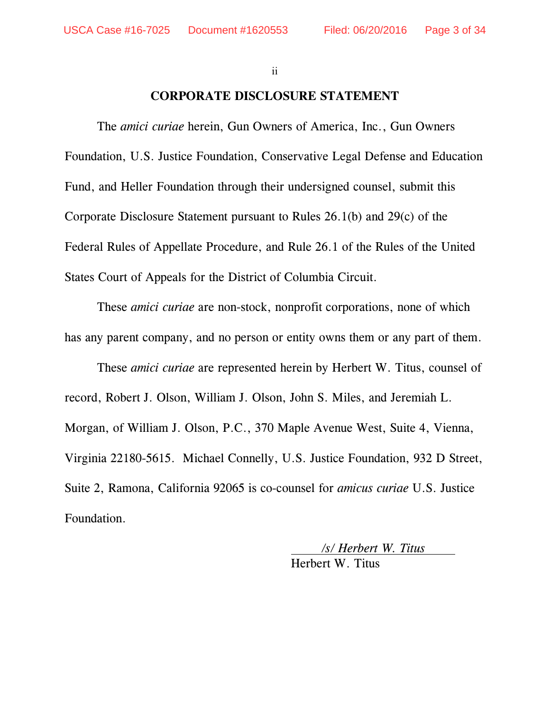ii

#### **CORPORATE DISCLOSURE STATEMENT**

The *amici curiae* herein, Gun Owners of America, Inc., Gun Owners Foundation, U.S. Justice Foundation, Conservative Legal Defense and Education Fund, and Heller Foundation through their undersigned counsel, submit this Corporate Disclosure Statement pursuant to Rules 26.1(b) and 29(c) of the Federal Rules of Appellate Procedure, and Rule 26.1 of the Rules of the United States Court of Appeals for the District of Columbia Circuit.

These *amici curiae* are non-stock, nonprofit corporations, none of which has any parent company, and no person or entity owns them or any part of them.

These *amici curiae* are represented herein by Herbert W. Titus, counsel of record, Robert J. Olson, William J. Olson, John S. Miles, and Jeremiah L. Morgan, of William J. Olson, P.C., 370 Maple Avenue West, Suite 4, Vienna, Virginia 22180-5615. Michael Connelly, U.S. Justice Foundation, 932 D Street, Suite 2, Ramona, California 92065 is co-counsel for *amicus curiae* U.S. Justice Foundation.

> */s/ Herbert W. Titus*  Herbert W. Titus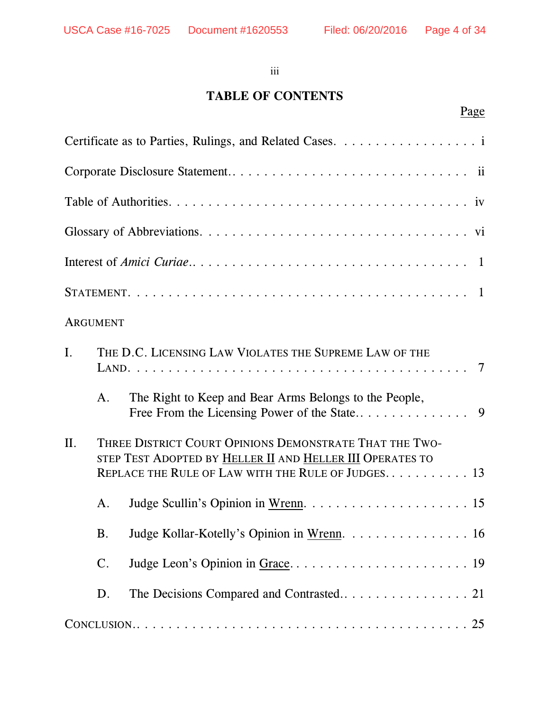#### iii

# **TABLE OF CONTENTS**

# Page

|                | <b>ARGUMENT</b> |                                                                                                                                                                            |
|----------------|-----------------|----------------------------------------------------------------------------------------------------------------------------------------------------------------------------|
| $\mathbf{I}$ . |                 | THE D.C. LICENSING LAW VIOLATES THE SUPREME LAW OF THE                                                                                                                     |
|                | A.              | The Right to Keep and Bear Arms Belongs to the People,                                                                                                                     |
| II.            |                 | THREE DISTRICT COURT OPINIONS DEMONSTRATE THAT THE TWO-<br>STEP TEST ADOPTED BY HELLER II AND HELLER III OPERATES TO<br>REPLACE THE RULE OF LAW WITH THE RULE OF JUDGES 13 |
|                | A.              |                                                                                                                                                                            |
|                | <b>B.</b>       | Judge Kollar-Kotelly's Opinion in Wrenn. 16                                                                                                                                |
|                | $\mathbf{C}$ .  |                                                                                                                                                                            |
|                | D.              |                                                                                                                                                                            |
|                |                 |                                                                                                                                                                            |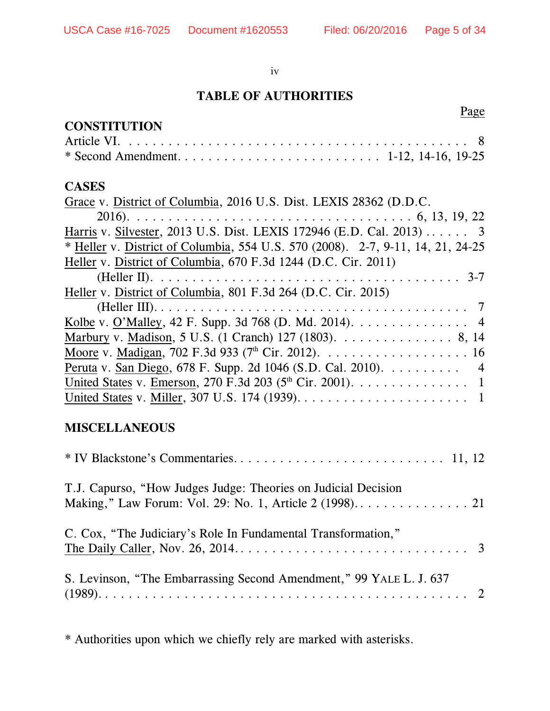iv

# **TABLE OF AUTHORITIES**

# **CONSTITUTION**

### Page

#### **CASES**

| Grace v. District of Columbia, 2016 U.S. Dist. LEXIS 28362 (D.D.C.                                                                                                                                                                                                                                                                 |
|------------------------------------------------------------------------------------------------------------------------------------------------------------------------------------------------------------------------------------------------------------------------------------------------------------------------------------|
|                                                                                                                                                                                                                                                                                                                                    |
| Harris v. Silvester, 2013 U.S. Dist. LEXIS 172946 (E.D. Cal. 2013) 3                                                                                                                                                                                                                                                               |
| * Heller v. District of Columbia, 554 U.S. 570 (2008). 2-7, 9-11, 14, 21, 24-25                                                                                                                                                                                                                                                    |
| Heller v. District of Columbia, 670 F.3d 1244 (D.C. Cir. 2011)                                                                                                                                                                                                                                                                     |
|                                                                                                                                                                                                                                                                                                                                    |
| Heller v. District of Columbia, 801 F.3d 264 (D.C. Cir. 2015)                                                                                                                                                                                                                                                                      |
|                                                                                                                                                                                                                                                                                                                                    |
| Kolbe v. O'Malley, 42 F. Supp. 3d 768 (D. Md. 2014). $\dots \dots \dots \dots \dots$                                                                                                                                                                                                                                               |
| Marbury v. Madison, 5 U.S. (1 Cranch) 127 (1803). 8, 14                                                                                                                                                                                                                                                                            |
|                                                                                                                                                                                                                                                                                                                                    |
| Peruta v. San Diego, 678 F. Supp. 2d 1046 (S.D. Cal. 2010). 4                                                                                                                                                                                                                                                                      |
| United States v. Emerson, 270 F.3d 203 ( $5th$ Cir. 2001). 1                                                                                                                                                                                                                                                                       |
|                                                                                                                                                                                                                                                                                                                                    |
|                                                                                                                                                                                                                                                                                                                                    |
| $\mathbf{r}$ $\mathbf{r}$ $\mathbf{r}$ $\mathbf{r}$ $\mathbf{r}$ $\mathbf{r}$ $\mathbf{r}$ $\mathbf{r}$ $\mathbf{r}$ $\mathbf{r}$ $\mathbf{r}$ $\mathbf{r}$ $\mathbf{r}$ $\mathbf{r}$ $\mathbf{r}$ $\mathbf{r}$ $\mathbf{r}$ $\mathbf{r}$ $\mathbf{r}$ $\mathbf{r}$ $\mathbf{r}$ $\mathbf{r}$ $\mathbf{r}$ $\mathbf{r}$ $\mathbf{$ |

# **MISCELLANEOUS**

| T.J. Capurso, "How Judges Judge: Theories on Judicial Decision      |
|---------------------------------------------------------------------|
| C. Cox, "The Judiciary's Role In Fundamental Transformation,"       |
| S. Levinson, "The Embarrassing Second Amendment," 99 YALE L. J. 637 |

\* Authorities upon which we chiefly rely are marked with asterisks.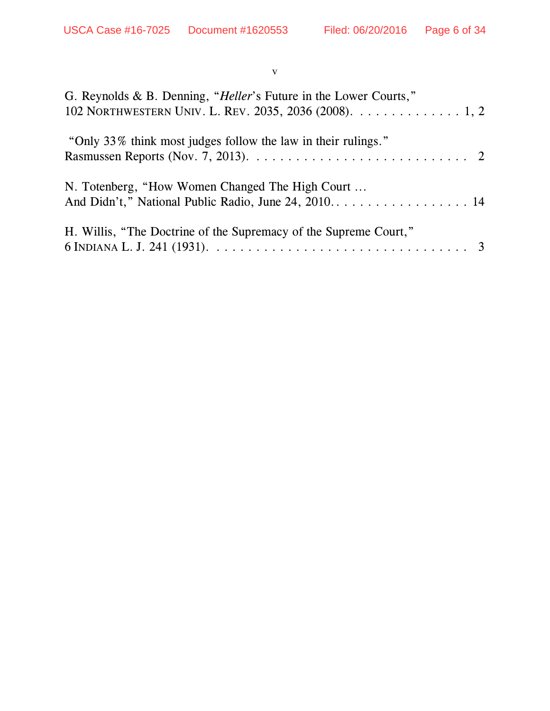#### v

| G. Reynolds & B. Denning, "Heller's Future in the Lower Courts,"<br>102 NORTHWESTERN UNIV. L. REV. 2035, 2036 (2008). 1, 2                                                                    |
|-----------------------------------------------------------------------------------------------------------------------------------------------------------------------------------------------|
| "Only 33% think most judges follow the law in their rulings."<br>Rasmussen Reports (Nov. 7, 2013). $\dots \dots \dots \dots \dots \dots \dots \dots \dots \dots \dots \dots$                  |
| N. Totenberg, "How Women Changed The High Court                                                                                                                                               |
| H. Willis, "The Doctrine of the Supremacy of the Supreme Court,"<br>6 INDIANA L. J. 241 (1931). $\ldots \ldots \ldots \ldots \ldots \ldots \ldots \ldots \ldots \ldots \ldots \ldots \quad 3$ |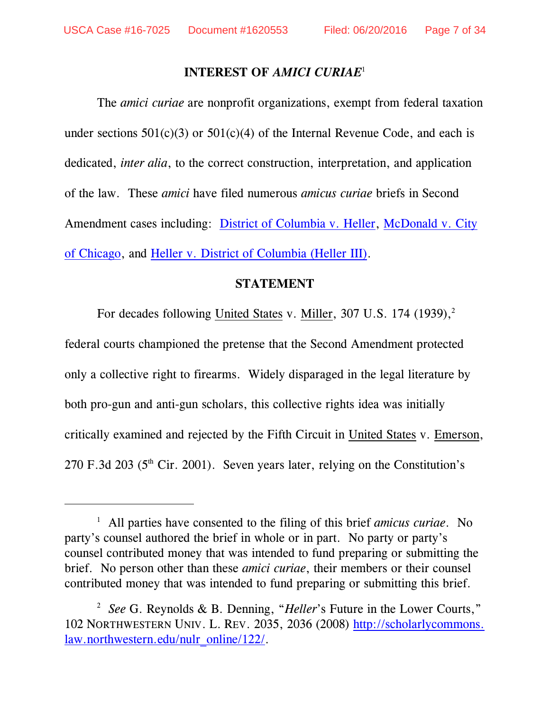#### **INTEREST OF** *AMICI CURIAE* 1

The *amici curiae* are nonprofit organizations, exempt from federal taxation under sections  $501(c)(3)$  or  $501(c)(4)$  of the Internal Revenue Code, and each is dedicated, *inter alia*, to the correct construction, interpretation, and application of the law. These *amici* have filed numerous *amicus curiae* briefs in Second Amendment cases including: [District of Columbia v. Heller](www.lawandfreedom.com/site/firearms/McDonald_Amicus.pdf), [McDonald v. City](<current%20document>www.lawandfreedom.com/site/firearms/McDonald_Amicus.pdf) [of Chicago](<current%20document>www.lawandfreedom.com/site/firearms/McDonald_Amicus.pdf), and [Heller v. District of Columbia \(Heller III\)](<current%20document>www.lawandfreedom.com/site/firearms/GOF%20Heller%20III%20Amicus%20Brief%20As%20Filed.pdf).

#### **STATEMENT**

For decades following United States v. Miller, 307 U.S. 174 (1939),<sup>2</sup> federal courts championed the pretense that the Second Amendment protected only a collective right to firearms. Widely disparaged in the legal literature by both pro-gun and anti-gun scholars, this collective rights idea was initially critically examined and rejected by the Fifth Circuit in United States v. Emerson, 270 F.3d 203 ( $5<sup>th</sup>$  Cir. 2001). Seven years later, relying on the Constitution's

All parties have consented to the filing of this brief *amicus curiae*. No <sup>1</sup> party's counsel authored the brief in whole or in part. No party or party's counsel contributed money that was intended to fund preparing or submitting the brief. No person other than these *amici curiae*, their members or their counsel contributed money that was intended to fund preparing or submitting this brief.

*See* G. Reynolds & B. Denning, "*Heller*'s Future in the Lower Courts," <sup>2</sup> 102 NORTHWESTERN UNIV. L. REV. 2035, 2036 (2008) [http://scholarlycommons.](http://scholarlycommons.law.northwestern.edu/nulr_online/122/) [law.northwestern.edu/nulr\\_online/122/](http://scholarlycommons.law.northwestern.edu/nulr_online/122/).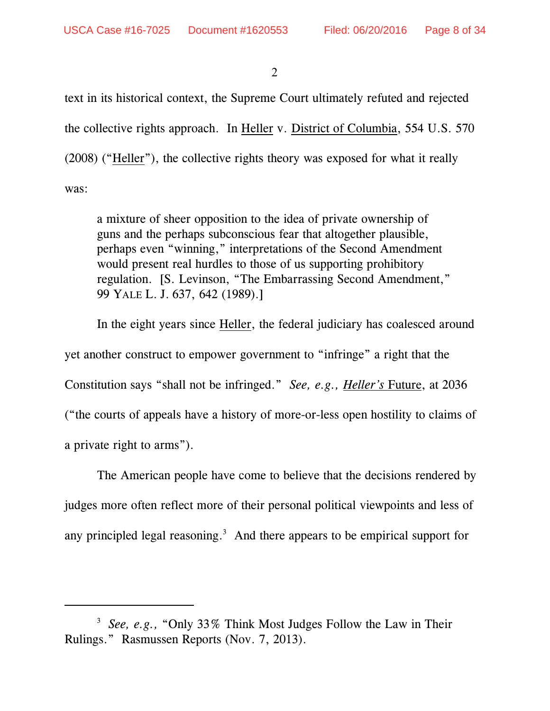text in its historical context, the Supreme Court ultimately refuted and rejected the collective rights approach. In Heller v. District of Columbia, 554 U.S. 570 (2008) ("Heller"), the collective rights theory was exposed for what it really was:

a mixture of sheer opposition to the idea of private ownership of guns and the perhaps subconscious fear that altogether plausible, perhaps even "winning," interpretations of the Second Amendment would present real hurdles to those of us supporting prohibitory regulation. [S. Levinson, "The Embarrassing Second Amendment," 99 YALE L. J. 637, 642 (1989).]

In the eight years since Heller, the federal judiciary has coalesced around yet another construct to empower government to "infringe" a right that the Constitution says "shall not be infringed." *See, e.g., Heller's* Future, at 2036 ("the courts of appeals have a history of more-or-less open hostility to claims of a private right to arms").

The American people have come to believe that the decisions rendered by judges more often reflect more of their personal political viewpoints and less of any principled legal reasoning.<sup>3</sup> And there appears to be empirical support for

<sup>&</sup>lt;sup>3</sup> See, e.g., "Only 33% Think Most Judges Follow the Law in Their Rulings." Rasmussen Reports (Nov. 7, 2013).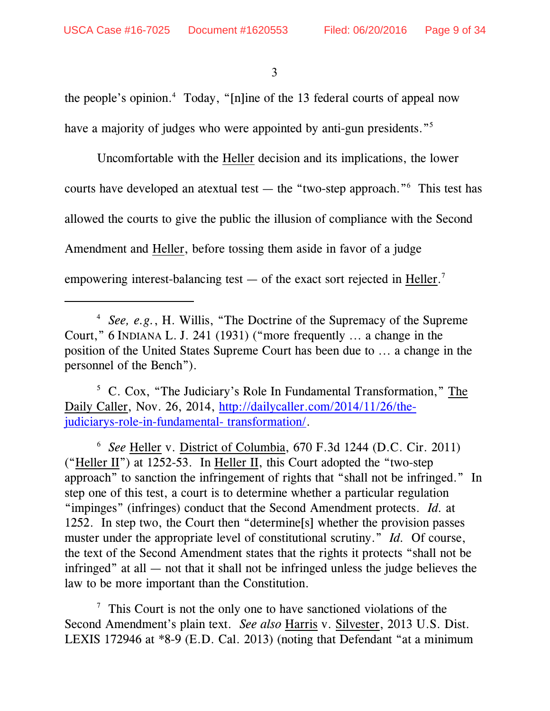the people's opinion. $4$  Today, "[n]ine of the 13 federal courts of appeal now have a majority of judges who were appointed by anti-gun presidents."<sup>5</sup>

Uncomfortable with the Heller decision and its implications, the lower courts have developed an atextual test — the "two-step approach." This test has allowed the courts to give the public the illusion of compliance with the Second Amendment and Heller, before tossing them aside in favor of a judge empowering interest-balancing test — of the exact sort rejected in Heller.<sup>7</sup>

<sup>6</sup> See Heller v. District of Columbia, 670 F.3d 1244 (D.C. Cir. 2011) ("Heller II") at 1252-53. In Heller II, this Court adopted the "two-step approach" to sanction the infringement of rights that "shall not be infringed." In step one of this test, a court is to determine whether a particular regulation "impinges" (infringes) conduct that the Second Amendment protects. *Id.* at 1252. In step two, the Court then "determine[s] whether the provision passes muster under the appropriate level of constitutional scrutiny." *Id.* Of course, the text of the Second Amendment states that the rights it protects "shall not be infringed" at all — not that it shall not be infringed unless the judge believes the law to be more important than the Constitution.

 $\frac{7}{7}$  This Court is not the only one to have sanctioned violations of the Second Amendment's plain text. *See also* Harris v. Silvester, 2013 U.S. Dist. LEXIS 172946 at \*8-9 (E.D. Cal. 2013) (noting that Defendant "at a minimum

<sup>&</sup>lt;sup>4</sup> See, e.g., H. Willis, "The Doctrine of the Supremacy of the Supreme Court," 6 INDIANA L. J. 241 (1931) ("more frequently ... a change in the position of the United States Supreme Court has been due to ... a change in the personnel of the Bench").

 $5$  C. Cox, "The Judiciary's Role In Fundamental Transformation," The Daily Caller, Nov. 26, 2014, [http://dailycaller.com/2014/11/26/the](http://dailycaller.com/2014/11/26/the-judiciarys-role-in-fundamental-transformation/)[judiciarys-role-in-fundamental- transformation/](http://dailycaller.com/2014/11/26/the-judiciarys-role-in-fundamental-transformation/).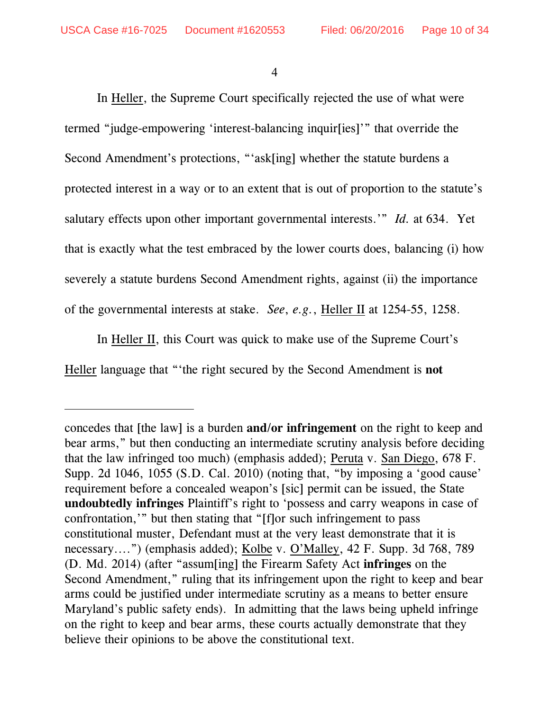In Heller, the Supreme Court specifically rejected the use of what were termed "judge-empowering 'interest-balancing inquir[ies]'" that override the Second Amendment's protections, "'ask[ing] whether the statute burdens a protected interest in a way or to an extent that is out of proportion to the statute's salutary effects upon other important governmental interests.'" *Id.* at 634. Yet that is exactly what the test embraced by the lower courts does, balancing (i) how severely a statute burdens Second Amendment rights, against (ii) the importance of the governmental interests at stake. *See*, *e.g.*, Heller II at 1254-55, 1258.

In Heller II, this Court was quick to make use of the Supreme Court's Heller language that "'the right secured by the Second Amendment is **not**

concedes that [the law] is a burden **and/or infringement** on the right to keep and bear arms," but then conducting an intermediate scrutiny analysis before deciding that the law infringed too much) (emphasis added); Peruta v. San Diego, 678 F. Supp. 2d 1046, 1055 (S.D. Cal. 2010) (noting that, "by imposing a 'good cause' requirement before a concealed weapon's [sic] permit can be issued, the State **undoubtedly infringes** Plaintiff's right to 'possess and carry weapons in case of confrontation,'" but then stating that "[f]or such infringement to pass constitutional muster, Defendant must at the very least demonstrate that it is necessary....") (emphasis added); Kolbe v. O'Malley, 42 F. Supp. 3d 768, 789 (D. Md. 2014) (after "assum[ing] the Firearm Safety Act **infringes** on the Second Amendment," ruling that its infringement upon the right to keep and bear arms could be justified under intermediate scrutiny as a means to better ensure Maryland's public safety ends). In admitting that the laws being upheld infringe on the right to keep and bear arms, these courts actually demonstrate that they believe their opinions to be above the constitutional text.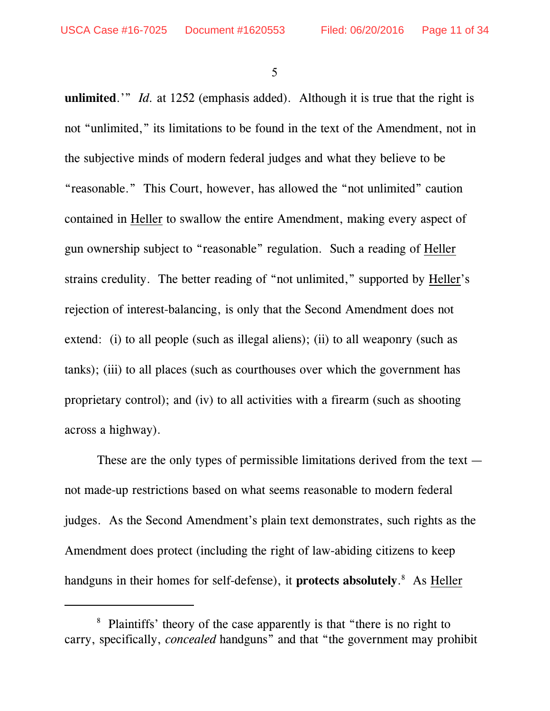**unlimited**.'" *Id.* at 1252 (emphasis added). Although it is true that the right is not "unlimited," its limitations to be found in the text of the Amendment, not in the subjective minds of modern federal judges and what they believe to be "reasonable." This Court, however, has allowed the "not unlimited" caution contained in Heller to swallow the entire Amendment, making every aspect of gun ownership subject to "reasonable" regulation. Such a reading of Heller strains credulity. The better reading of "not unlimited," supported by Heller's rejection of interest-balancing, is only that the Second Amendment does not extend: (i) to all people (such as illegal aliens); (ii) to all weaponry (such as tanks); (iii) to all places (such as courthouses over which the government has proprietary control); and (iv) to all activities with a firearm (such as shooting across a highway).

These are the only types of permissible limitations derived from the text not made-up restrictions based on what seems reasonable to modern federal judges. As the Second Amendment's plain text demonstrates, such rights as the Amendment does protect (including the right of law-abiding citizens to keep handguns in their homes for self-defense), it **protects absolutely**.<sup>8</sup> As Heller

<sup>&</sup>lt;sup>8</sup> Plaintiffs' theory of the case apparently is that "there is no right to carry, specifically, *concealed* handguns" and that "the government may prohibit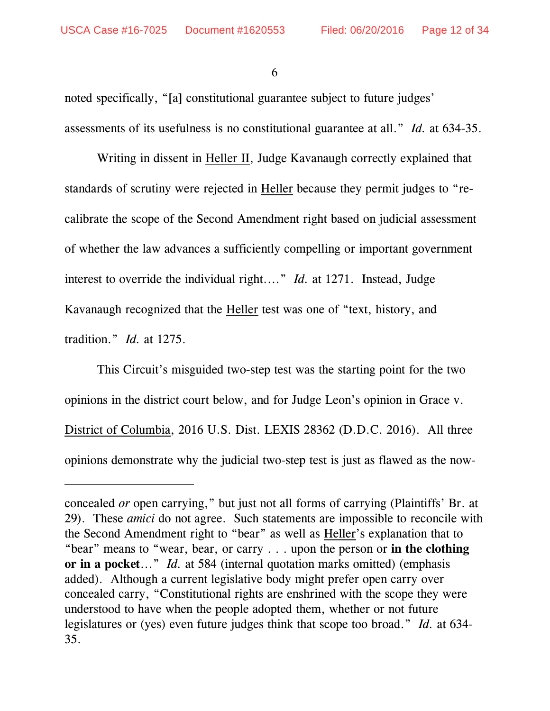noted specifically, "[a] constitutional guarantee subject to future judges' assessments of its usefulness is no constitutional guarantee at all." *Id.* at 634-35.

Writing in dissent in Heller II, Judge Kavanaugh correctly explained that standards of scrutiny were rejected in Heller because they permit judges to "recalibrate the scope of the Second Amendment right based on judicial assessment of whether the law advances a sufficiently compelling or important government interest to override the individual right...." *Id.* at 1271. Instead, Judge Kavanaugh recognized that the Heller test was one of "text, history, and tradition." *Id.* at 1275.

This Circuit's misguided two-step test was the starting point for the two opinions in the district court below, and for Judge Leon's opinion in Grace v. District of Columbia, 2016 U.S. Dist. LEXIS 28362 (D.D.C. 2016). All three opinions demonstrate why the judicial two-step test is just as flawed as the now-

concealed *or* open carrying," but just not all forms of carrying (Plaintiffs' Br. at 29). These *amici* do not agree. Such statements are impossible to reconcile with the Second Amendment right to "bear" as well as Heller's explanation that to "bear" means to "wear, bear, or carry . . . upon the person or **in the clothing or in a pocket**..." *Id.* at 584 (internal quotation marks omitted) (emphasis added). Although a current legislative body might prefer open carry over concealed carry, "Constitutional rights are enshrined with the scope they were understood to have when the people adopted them, whether or not future legislatures or (yes) even future judges think that scope too broad." *Id.* at 634- 35.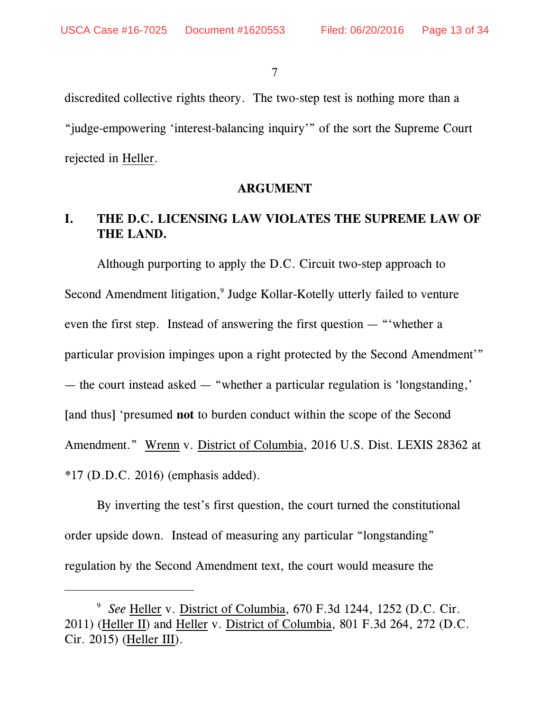discredited collective rights theory. The two-step test is nothing more than a "judge-empowering 'interest-balancing inquiry'" of the sort the Supreme Court rejected in Heller.

#### **ARGUMENT**

# **I. THE D.C. LICENSING LAW VIOLATES THE SUPREME LAW OF THE LAND.**

Although purporting to apply the D.C. Circuit two-step approach to Second Amendment litigation,<sup>9</sup> Judge Kollar-Kotelly utterly failed to venture even the first step. Instead of answering the first question — "'whether a particular provision impinges upon a right protected by the Second Amendment'" — the court instead asked — "whether a particular regulation is 'longstanding,' [and thus] 'presumed **not** to burden conduct within the scope of the Second Amendment." Wrenn v. District of Columbia, 2016 U.S. Dist. LEXIS 28362 at \*17 (D.D.C. 2016) (emphasis added).

By inverting the test's first question, the court turned the constitutional order upside down. Instead of measuring any particular "longstanding" regulation by the Second Amendment text, the court would measure the

<sup>&</sup>lt;sup>9</sup> See Heller v. District of Columbia, 670 F.3d 1244, 1252 (D.C. Cir. 2011) (Heller II) and Heller v. District of Columbia, 801 F.3d 264, 272 (D.C. Cir. 2015) (Heller III).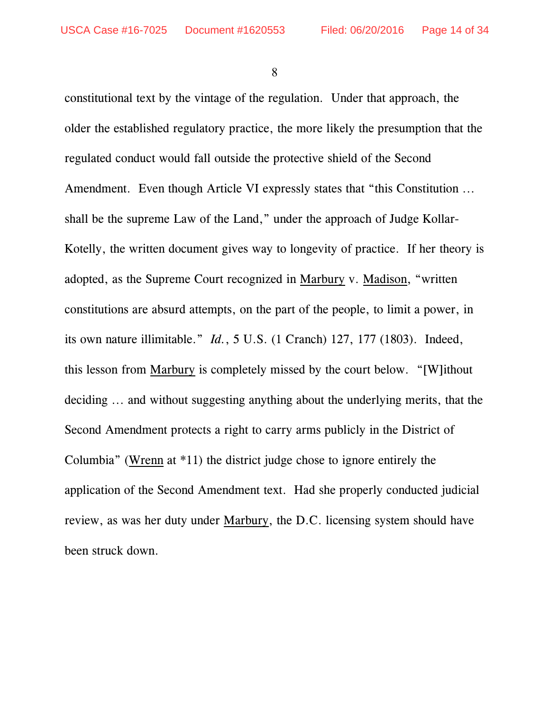constitutional text by the vintage of the regulation. Under that approach, the older the established regulatory practice, the more likely the presumption that the regulated conduct would fall outside the protective shield of the Second Amendment. Even though Article VI expressly states that "this Constitution ... shall be the supreme Law of the Land," under the approach of Judge Kollar-Kotelly, the written document gives way to longevity of practice. If her theory is adopted, as the Supreme Court recognized in Marbury v. Madison, "written constitutions are absurd attempts, on the part of the people, to limit a power, in its own nature illimitable." *Id.*, 5 U.S. (1 Cranch) 127, 177 (1803). Indeed, this lesson from Marbury is completely missed by the court below. "[W]ithout deciding ... and without suggesting anything about the underlying merits, that the Second Amendment protects a right to carry arms publicly in the District of Columbia" (Wrenn at \*11) the district judge chose to ignore entirely the application of the Second Amendment text. Had she properly conducted judicial review, as was her duty under Marbury, the D.C. licensing system should have been struck down.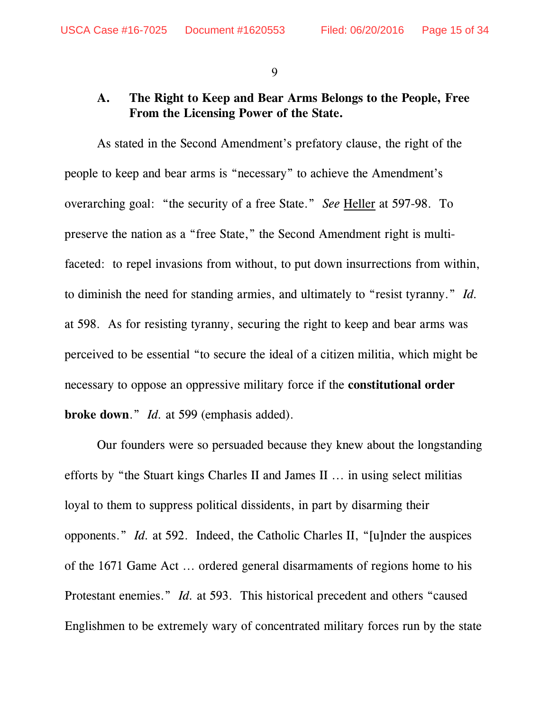#### **A. The Right to Keep and Bear Arms Belongs to the People, Free From the Licensing Power of the State.**

As stated in the Second Amendment's prefatory clause, the right of the people to keep and bear arms is "necessary" to achieve the Amendment's overarching goal: "the security of a free State." *See* Heller at 597-98. To preserve the nation as a "free State," the Second Amendment right is multifaceted: to repel invasions from without, to put down insurrections from within, to diminish the need for standing armies, and ultimately to "resist tyranny." *Id.* at 598. As for resisting tyranny, securing the right to keep and bear arms was perceived to be essential "to secure the ideal of a citizen militia, which might be necessary to oppose an oppressive military force if the **constitutional order broke down**." *Id.* at 599 (emphasis added).

Our founders were so persuaded because they knew about the longstanding efforts by "the Stuart kings Charles II and James II ... in using select militias loyal to them to suppress political dissidents, in part by disarming their opponents." *Id.* at 592. Indeed, the Catholic Charles II, "[u]nder the auspices of the 1671 Game Act ... ordered general disarmaments of regions home to his Protestant enemies." *Id.* at 593. This historical precedent and others "caused Englishmen to be extremely wary of concentrated military forces run by the state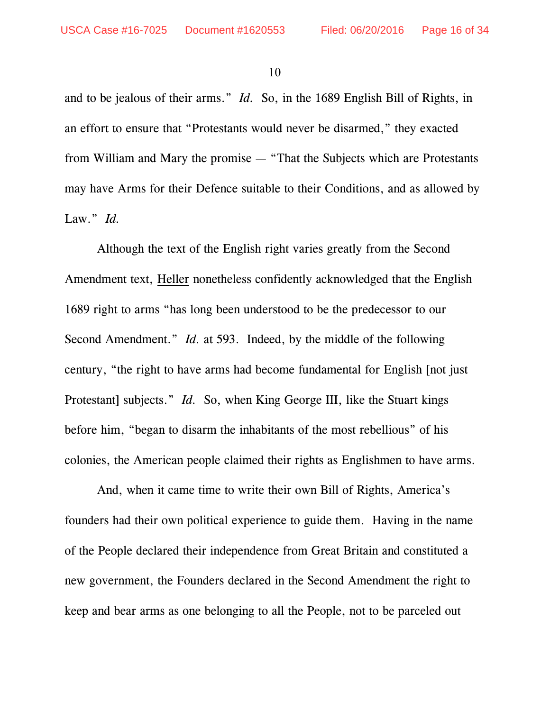and to be jealous of their arms." *Id.* So, in the 1689 English Bill of Rights, in an effort to ensure that "Protestants would never be disarmed," they exacted from William and Mary the promise — "That the Subjects which are Protestants may have Arms for their Defence suitable to their Conditions, and as allowed by Law." *Id.* 

Although the text of the English right varies greatly from the Second Amendment text, Heller nonetheless confidently acknowledged that the English 1689 right to arms "has long been understood to be the predecessor to our Second Amendment." *Id.* at 593. Indeed, by the middle of the following century, "the right to have arms had become fundamental for English [not just Protestant] subjects." *Id.* So, when King George III, like the Stuart kings before him, "began to disarm the inhabitants of the most rebellious" of his colonies, the American people claimed their rights as Englishmen to have arms.

And, when it came time to write their own Bill of Rights, America's founders had their own political experience to guide them. Having in the name of the People declared their independence from Great Britain and constituted a new government, the Founders declared in the Second Amendment the right to keep and bear arms as one belonging to all the People, not to be parceled out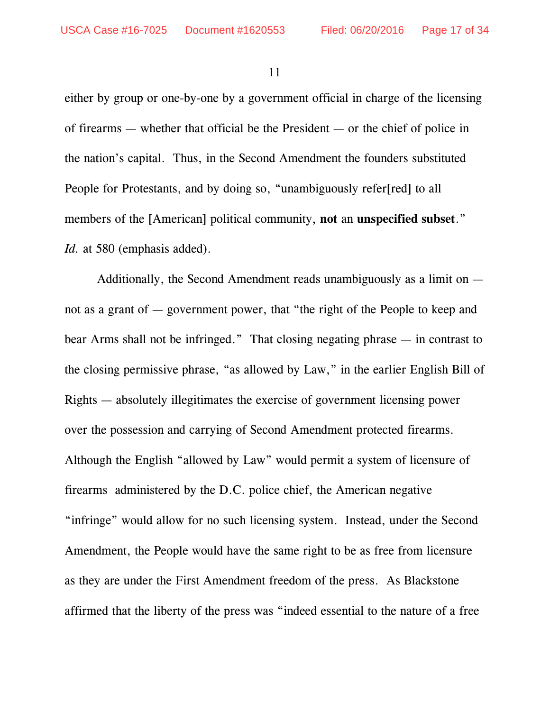either by group or one-by-one by a government official in charge of the licensing of firearms — whether that official be the President — or the chief of police in the nation's capital. Thus, in the Second Amendment the founders substituted People for Protestants, and by doing so, "unambiguously refer[red] to all members of the [American] political community, **not** an **unspecified subset**." *Id.* at 580 (emphasis added).

Additionally, the Second Amendment reads unambiguously as a limit on not as a grant of — government power, that "the right of the People to keep and bear Arms shall not be infringed." That closing negating phrase — in contrast to the closing permissive phrase, "as allowed by Law," in the earlier English Bill of Rights — absolutely illegitimates the exercise of government licensing power over the possession and carrying of Second Amendment protected firearms. Although the English "allowed by Law" would permit a system of licensure of firearms administered by the D.C. police chief, the American negative "infringe" would allow for no such licensing system. Instead, under the Second Amendment, the People would have the same right to be as free from licensure as they are under the First Amendment freedom of the press. As Blackstone affirmed that the liberty of the press was "indeed essential to the nature of a free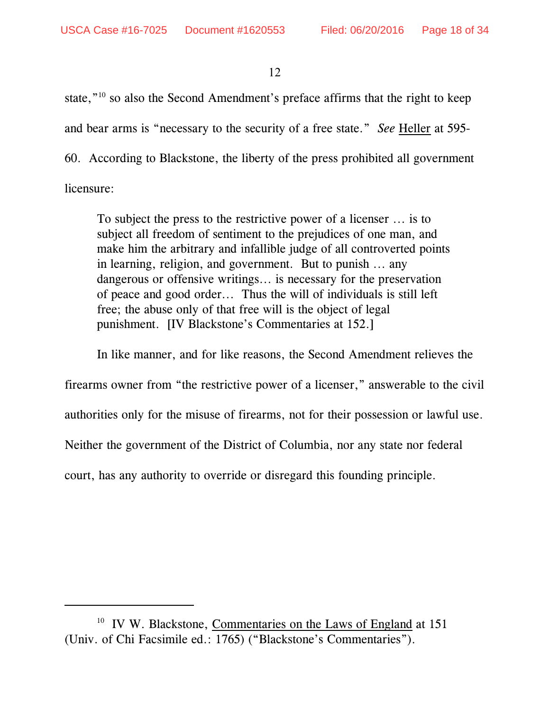state," $10$  so also the Second Amendment's preface affirms that the right to keep and bear arms is "necessary to the security of a free state." *See* Heller at 595- 60. According to Blackstone, the liberty of the press prohibited all government

licensure:

To subject the press to the restrictive power of a licenser ... is to subject all freedom of sentiment to the prejudices of one man, and make him the arbitrary and infallible judge of all controverted points in learning, religion, and government. But to punish ... any dangerous or offensive writings... is necessary for the preservation of peace and good order... Thus the will of individuals is still left free; the abuse only of that free will is the object of legal punishment. [IV Blackstone's Commentaries at 152.]

In like manner, and for like reasons, the Second Amendment relieves the

firearms owner from "the restrictive power of a licenser," answerable to the civil

authorities only for the misuse of firearms, not for their possession or lawful use.

Neither the government of the District of Columbia, nor any state nor federal

court, has any authority to override or disregard this founding principle.

 $10$  IV W. Blackstone, Commentaries on the Laws of England at 151 (Univ. of Chi Facsimile ed.: 1765) ("Blackstone's Commentaries").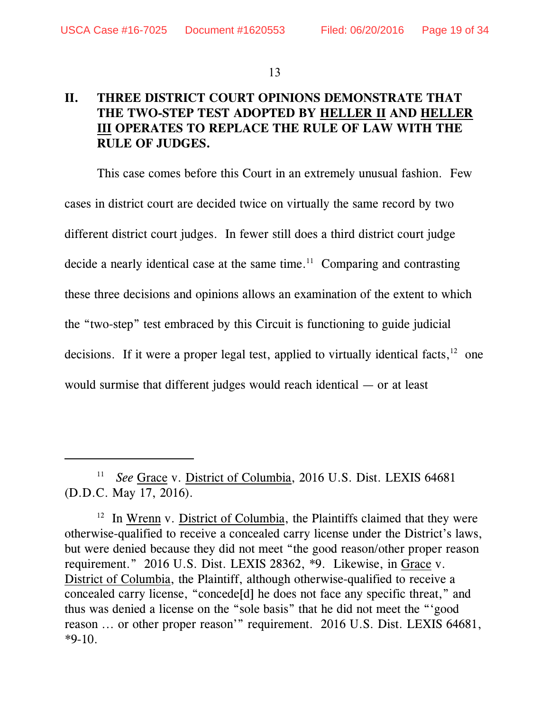# **II. THREE DISTRICT COURT OPINIONS DEMONSTRATE THAT THE TWO-STEP TEST ADOPTED BY HELLER II AND HELLER III OPERATES TO REPLACE THE RULE OF LAW WITH THE RULE OF JUDGES.**

This case comes before this Court in an extremely unusual fashion. Few cases in district court are decided twice on virtually the same record by two different district court judges. In fewer still does a third district court judge decide a nearly identical case at the same time. $11$  Comparing and contrasting these three decisions and opinions allows an examination of the extent to which the "two-step" test embraced by this Circuit is functioning to guide judicial decisions. If it were a proper legal test, applied to virtually identical facts,  $12$  one would surmise that different judges would reach identical — or at least

<sup>&</sup>lt;sup>11</sup> See Grace v. District of Columbia, 2016 U.S. Dist. LEXIS 64681 (D.D.C. May 17, 2016).

 $12$  In Wrenn v. District of Columbia, the Plaintiffs claimed that they were otherwise-qualified to receive a concealed carry license under the District's laws, but were denied because they did not meet "the good reason/other proper reason requirement." 2016 U.S. Dist. LEXIS 28362, \*9. Likewise, in Grace v. District of Columbia, the Plaintiff, although otherwise-qualified to receive a concealed carry license, "concede[d] he does not face any specific threat," and thus was denied a license on the "sole basis" that he did not meet the "'good reason ... or other proper reason'" requirement. 2016 U.S. Dist. LEXIS 64681, \*9-10.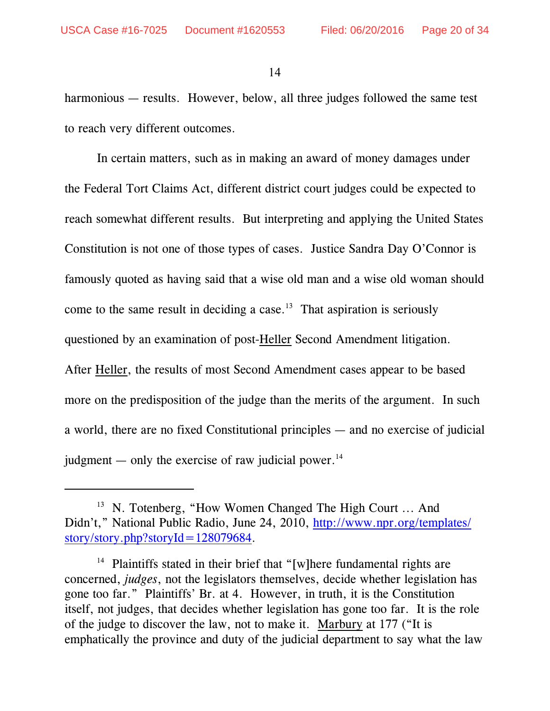harmonious — results. However, below, all three judges followed the same test to reach very different outcomes.

In certain matters, such as in making an award of money damages under the Federal Tort Claims Act, different district court judges could be expected to reach somewhat different results. But interpreting and applying the United States Constitution is not one of those types of cases. Justice Sandra Day O'Connor is famously quoted as having said that a wise old man and a wise old woman should come to the same result in deciding a case.<sup>13</sup> That aspiration is seriously questioned by an examination of post-Heller Second Amendment litigation. After Heller, the results of most Second Amendment cases appear to be based more on the predisposition of the judge than the merits of the argument. In such a world, there are no fixed Constitutional principles — and no exercise of judicial judgment — only the exercise of raw judicial power.<sup>14</sup>

 $13$  N. Totenberg, "How Women Changed The High Court ... And Didn't," National Public Radio, June 24, 2010, [http://www.npr.org/templates/](http://www.npr.org/templates/story/story.php?storyId=128079684) [story/story.php?storyId=128079684](http://www.npr.org/templates/story/story.php?storyId=128079684).

<sup>&</sup>lt;sup>14</sup> Plaintiffs stated in their brief that "[w]here fundamental rights are concerned, *judges*, not the legislators themselves, decide whether legislation has gone too far." Plaintiffs' Br. at 4. However, in truth, it is the Constitution itself, not judges, that decides whether legislation has gone too far. It is the role of the judge to discover the law, not to make it. Marbury at 177 ("It is emphatically the province and duty of the judicial department to say what the law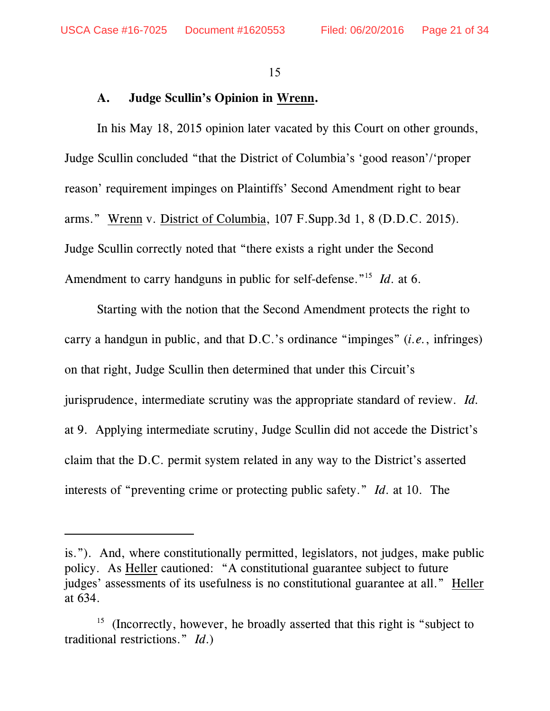#### **A. Judge Scullin's Opinion in Wrenn.**

In his May 18, 2015 opinion later vacated by this Court on other grounds, Judge Scullin concluded "that the District of Columbia's 'good reason'/'proper reason' requirement impinges on Plaintiffs' Second Amendment right to bear arms." Wrenn v. District of Columbia, 107 F.Supp.3d 1, 8 (D.D.C. 2015). Judge Scullin correctly noted that "there exists a right under the Second Amendment to carry handguns in public for self-defense."<sup>15</sup> *Id*. at 6.

Starting with the notion that the Second Amendment protects the right to carry a handgun in public, and that D.C.'s ordinance "impinges" (*i.e.*, infringes) on that right, Judge Scullin then determined that under this Circuit's jurisprudence, intermediate scrutiny was the appropriate standard of review. *Id.* at 9. Applying intermediate scrutiny, Judge Scullin did not accede the District's claim that the D.C. permit system related in any way to the District's asserted interests of "preventing crime or protecting public safety." *Id*. at 10. The

is."). And, where constitutionally permitted, legislators, not judges, make public policy. As Heller cautioned: "A constitutional guarantee subject to future judges' assessments of its usefulness is no constitutional guarantee at all." Heller at 634.

 $15$  (Incorrectly, however, he broadly asserted that this right is "subject to traditional restrictions." *Id*.)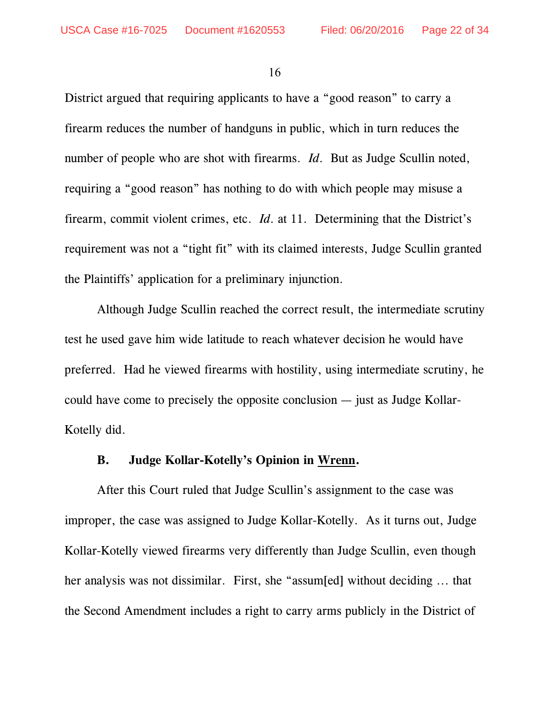District argued that requiring applicants to have a "good reason" to carry a firearm reduces the number of handguns in public, which in turn reduces the number of people who are shot with firearms. *Id*. But as Judge Scullin noted, requiring a "good reason" has nothing to do with which people may misuse a firearm, commit violent crimes, etc. *Id*. at 11. Determining that the District's requirement was not a "tight fit" with its claimed interests, Judge Scullin granted the Plaintiffs' application for a preliminary injunction.

Although Judge Scullin reached the correct result, the intermediate scrutiny test he used gave him wide latitude to reach whatever decision he would have preferred. Had he viewed firearms with hostility, using intermediate scrutiny, he could have come to precisely the opposite conclusion — just as Judge Kollar-Kotelly did.

#### **B. Judge Kollar-Kotelly's Opinion in Wrenn.**

After this Court ruled that Judge Scullin's assignment to the case was improper, the case was assigned to Judge Kollar-Kotelly. As it turns out, Judge Kollar-Kotelly viewed firearms very differently than Judge Scullin, even though her analysis was not dissimilar. First, she "assum[ed] without deciding ... that the Second Amendment includes a right to carry arms publicly in the District of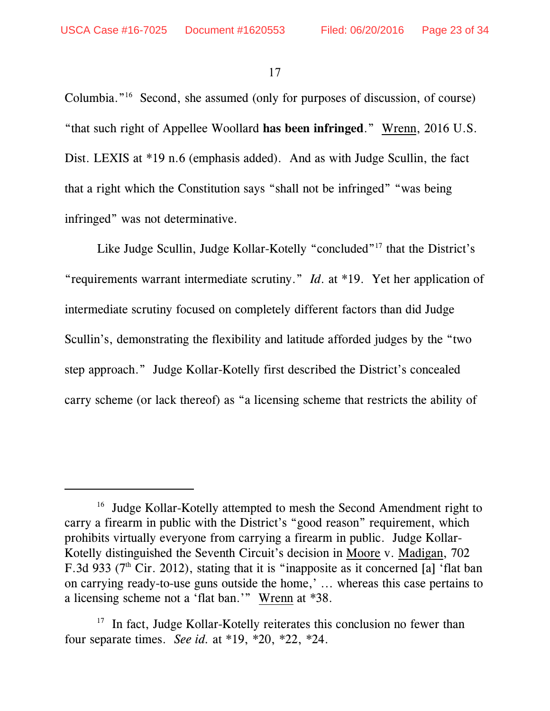Columbia." $16$  Second, she assumed (only for purposes of discussion, of course) "that such right of Appellee Woollard **has been infringed**." Wrenn, 2016 U.S. Dist. LEXIS at \*19 n.6 (emphasis added). And as with Judge Scullin, the fact that a right which the Constitution says "shall not be infringed" "was being infringed" was not determinative.

Like Judge Scullin, Judge Kollar-Kotelly "concluded"<sup>17</sup> that the District's "requirements warrant intermediate scrutiny." *Id*. at \*19. Yet her application of intermediate scrutiny focused on completely different factors than did Judge Scullin's, demonstrating the flexibility and latitude afforded judges by the "two step approach." Judge Kollar-Kotelly first described the District's concealed carry scheme (or lack thereof) as "a licensing scheme that restricts the ability of

 $16$  Judge Kollar-Kotelly attempted to mesh the Second Amendment right to carry a firearm in public with the District's "good reason" requirement, which prohibits virtually everyone from carrying a firearm in public. Judge Kollar-Kotelly distinguished the Seventh Circuit's decision in Moore v. Madigan, 702 F.3d 933 ( $7<sup>th</sup>$  Cir. 2012), stating that it is "inapposite as it concerned [a] 'flat ban on carrying ready-to-use guns outside the home,' ... whereas this case pertains to a licensing scheme not a 'flat ban.'" Wrenn at \*38.

 $17$  In fact, Judge Kollar-Kotelly reiterates this conclusion no fewer than four separate times. *See id.* at \*19, \*20, \*22, \*24.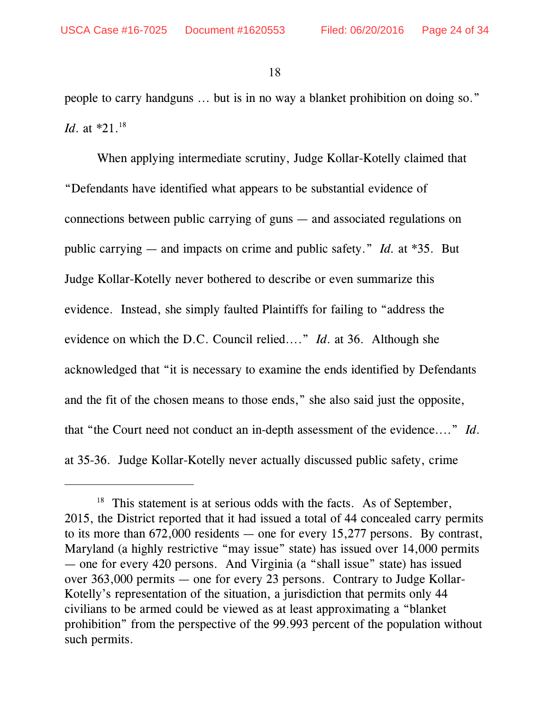people to carry handguns ... but is in no way a blanket prohibition on doing so." *Id*. at \*21.<sup>18</sup>

When applying intermediate scrutiny, Judge Kollar-Kotelly claimed that "Defendants have identified what appears to be substantial evidence of connections between public carrying of guns — and associated regulations on public carrying — and impacts on crime and public safety." *Id.* at \*35. But Judge Kollar-Kotelly never bothered to describe or even summarize this evidence. Instead, she simply faulted Plaintiffs for failing to "address the evidence on which the D.C. Council relied...." *Id*. at 36. Although she acknowledged that "it is necessary to examine the ends identified by Defendants and the fit of the chosen means to those ends," she also said just the opposite, that "the Court need not conduct an in-depth assessment of the evidence...." *Id*. at 35-36. Judge Kollar-Kotelly never actually discussed public safety, crime

 $18$  This statement is at serious odds with the facts. As of September, 2015, the District reported that it had issued a total of 44 concealed carry permits to its more than 672,000 residents — one for every 15,277 persons. By contrast, Maryland (a highly restrictive "may issue" state) has issued over 14,000 permits — one for every 420 persons. And Virginia (a "shall issue" state) has issued over 363,000 permits — one for every 23 persons. Contrary to Judge Kollar-Kotelly's representation of the situation, a jurisdiction that permits only 44 civilians to be armed could be viewed as at least approximating a "blanket prohibition" from the perspective of the 99.993 percent of the population without such permits.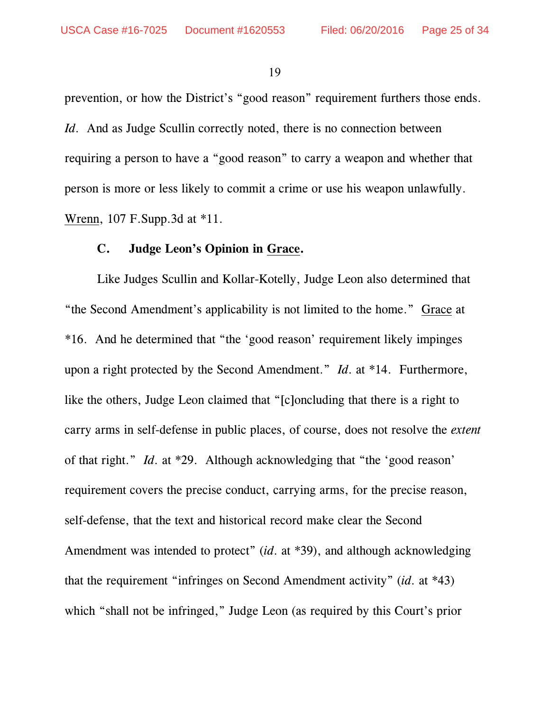prevention, or how the District's "good reason" requirement furthers those ends. *Id.* And as Judge Scullin correctly noted, there is no connection between requiring a person to have a "good reason" to carry a weapon and whether that person is more or less likely to commit a crime or use his weapon unlawfully. Wrenn, 107 F.Supp.3d at \*11.

#### **C. Judge Leon's Opinion in Grace.**

Like Judges Scullin and Kollar-Kotelly, Judge Leon also determined that "the Second Amendment's applicability is not limited to the home." Grace at \*16. And he determined that "the 'good reason' requirement likely impinges upon a right protected by the Second Amendment." *Id*. at \*14. Furthermore, like the others, Judge Leon claimed that "[c]oncluding that there is a right to carry arms in self-defense in public places, of course, does not resolve the *extent* of that right." *Id*. at \*29. Although acknowledging that "the 'good reason' requirement covers the precise conduct, carrying arms, for the precise reason, self-defense, that the text and historical record make clear the Second Amendment was intended to protect" (*id*. at \*39), and although acknowledging that the requirement "infringes on Second Amendment activity" (*id*. at \*43) which "shall not be infringed," Judge Leon (as required by this Court's prior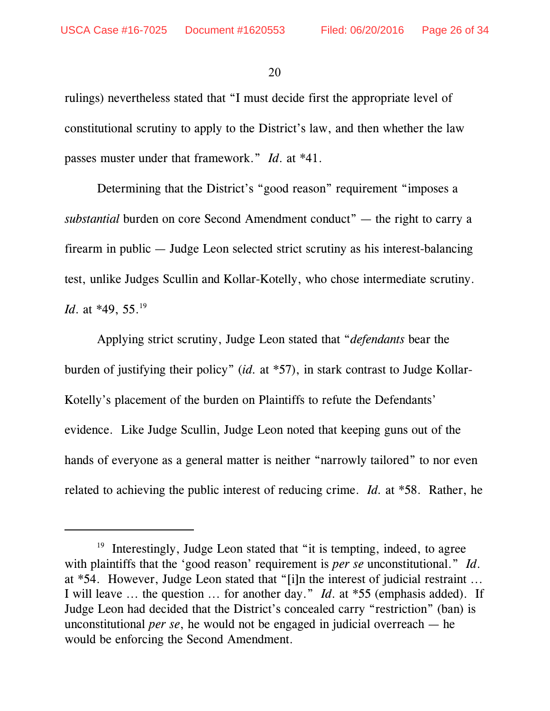rulings) nevertheless stated that "I must decide first the appropriate level of constitutional scrutiny to apply to the District's law, and then whether the law passes muster under that framework." *Id*. at \*41.

Determining that the District's "good reason" requirement "imposes a *substantial* burden on core Second Amendment conduct" — the right to carry a firearm in public — Judge Leon selected strict scrutiny as his interest-balancing test, unlike Judges Scullin and Kollar-Kotelly, who chose intermediate scrutiny. *Id.* at \*49, 55.<sup>19</sup>

Applying strict scrutiny, Judge Leon stated that "*defendants* bear the burden of justifying their policy" (*id.* at \*57), in stark contrast to Judge Kollar-Kotelly's placement of the burden on Plaintiffs to refute the Defendants' evidence. Like Judge Scullin, Judge Leon noted that keeping guns out of the hands of everyone as a general matter is neither "narrowly tailored" to nor even related to achieving the public interest of reducing crime. *Id.* at \*58. Rather, he

 $19$  Interestingly, Judge Leon stated that "it is tempting, indeed, to agree with plaintiffs that the 'good reason' requirement is *per se* unconstitutional." *Id*. at \*54. However, Judge Leon stated that "[i]n the interest of judicial restraint ... I will leave ... the question ... for another day." *Id*. at \*55 (emphasis added). If Judge Leon had decided that the District's concealed carry "restriction" (ban) is unconstitutional *per se*, he would not be engaged in judicial overreach — he would be enforcing the Second Amendment.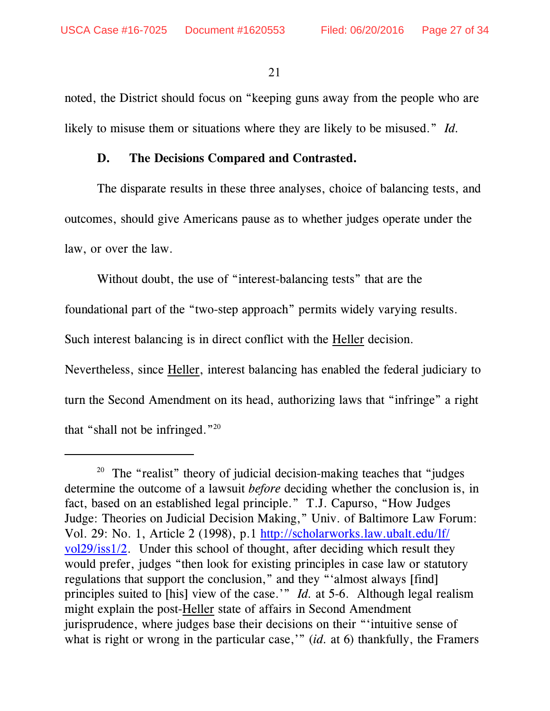noted, the District should focus on "keeping guns away from the people who are likely to misuse them or situations where they are likely to be misused." *Id.*

#### **D. The Decisions Compared and Contrasted.**

The disparate results in these three analyses, choice of balancing tests, and outcomes, should give Americans pause as to whether judges operate under the law, or over the law.

Without doubt, the use of "interest-balancing tests" that are the

foundational part of the "two-step approach" permits widely varying results.

Such interest balancing is in direct conflict with the Heller decision.

Nevertheless, since Heller, interest balancing has enabled the federal judiciary to turn the Second Amendment on its head, authorizing laws that "infringe" a right that "shall not be infringed."<sup>20</sup>

<sup>&</sup>lt;sup>20</sup> The "realist" theory of judicial decision-making teaches that "judges" determine the outcome of a lawsuit *before* deciding whether the conclusion is, in fact, based on an established legal principle." T.J. Capurso, "How Judges Judge: Theories on Judicial Decision Making," Univ. of Baltimore Law Forum: Vol. 29: No. 1, Article 2 (1998), p.1 [http://scholarworks.law.ubalt.edu/lf/](http://scholarworks.law.ubalt.edu/lf/vol29/iss1/2) [vol29/iss1/2](http://scholarworks.law.ubalt.edu/lf/vol29/iss1/2). Under this school of thought, after deciding which result they would prefer, judges "then look for existing principles in case law or statutory regulations that support the conclusion," and they "'almost always [find] principles suited to [his] view of the case.'" *Id.* at 5-6. Although legal realism might explain the post-Heller state of affairs in Second Amendment jurisprudence, where judges base their decisions on their "'intuitive sense of what is right or wrong in the particular case," *(id.* at 6) thankfully, the Framers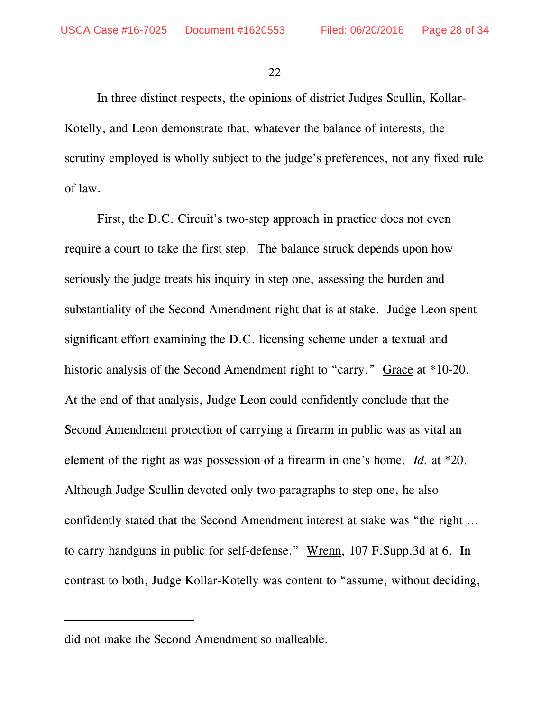In three distinct respects, the opinions of district Judges Scullin, Kollar-Kotelly, and Leon demonstrate that, whatever the balance of interests, the scrutiny employed is wholly subject to the judge's preferences, not any fixed rule of law.

First, the D.C. Circuit's two-step approach in practice does not even require a court to take the first step. The balance struck depends upon how seriously the judge treats his inquiry in step one, assessing the burden and substantiality of the Second Amendment right that is at stake. Judge Leon spent significant effort examining the D.C. licensing scheme under a textual and historic analysis of the Second Amendment right to "carry." Grace at \*10-20. At the end of that analysis, Judge Leon could confidently conclude that the Second Amendment protection of carrying a firearm in public was as vital an element of the right as was possession of a firearm in one's home. *Id.* at \*20. Although Judge Scullin devoted only two paragraphs to step one, he also confidently stated that the Second Amendment interest at stake was "the right ... to carry handguns in public for self-defense." Wrenn, 107 F.Supp.3d at 6. In contrast to both, Judge Kollar-Kotelly was content to "assume, without deciding,

did not make the Second Amendment so malleable.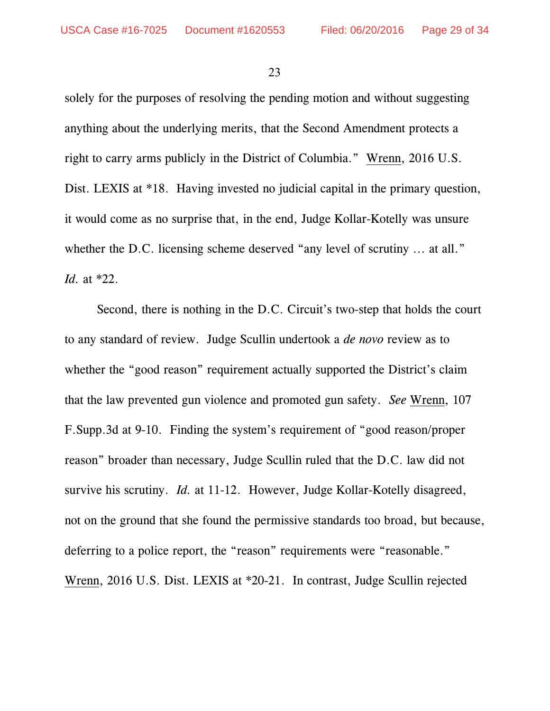solely for the purposes of resolving the pending motion and without suggesting anything about the underlying merits, that the Second Amendment protects a right to carry arms publicly in the District of Columbia." Wrenn, 2016 U.S. Dist. LEXIS at \*18. Having invested no judicial capital in the primary question, it would come as no surprise that, in the end, Judge Kollar-Kotelly was unsure whether the D.C. licensing scheme deserved "any level of scrutiny ... at all." *Id.* at \*22.

Second, there is nothing in the D.C. Circuit's two-step that holds the court to any standard of review. Judge Scullin undertook a *de novo* review as to whether the "good reason" requirement actually supported the District's claim that the law prevented gun violence and promoted gun safety. *See* Wrenn, 107 F.Supp.3d at 9-10. Finding the system's requirement of "good reason/proper reason" broader than necessary, Judge Scullin ruled that the D.C. law did not survive his scrutiny. *Id.* at 11-12. However, Judge Kollar-Kotelly disagreed, not on the ground that she found the permissive standards too broad, but because, deferring to a police report, the "reason" requirements were "reasonable." Wrenn, 2016 U.S. Dist. LEXIS at \*20-21. In contrast, Judge Scullin rejected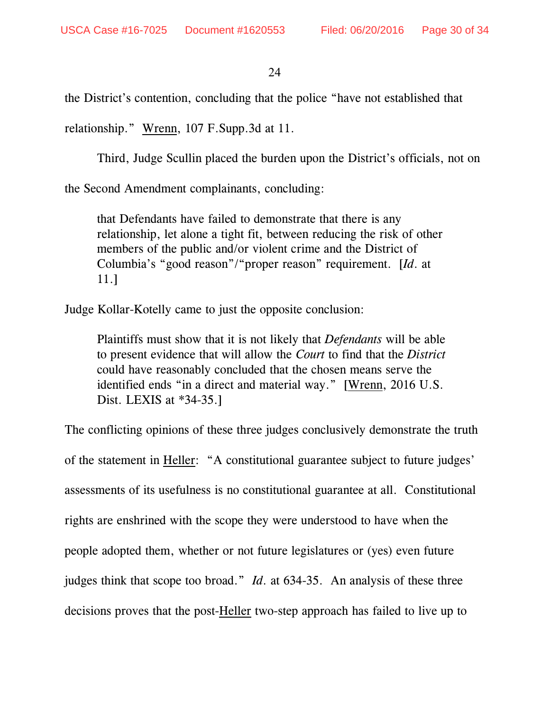the District's contention, concluding that the police "have not established that

relationship." Wrenn, 107 F.Supp.3d at 11.

Third, Judge Scullin placed the burden upon the District's officials, not on

the Second Amendment complainants, concluding:

that Defendants have failed to demonstrate that there is any relationship, let alone a tight fit, between reducing the risk of other members of the public and/or violent crime and the District of Columbia's "good reason"/"proper reason" requirement. [*Id*. at 11.]

Judge Kollar-Kotelly came to just the opposite conclusion:

Plaintiffs must show that it is not likely that *Defendants* will be able to present evidence that will allow the *Court* to find that the *District* could have reasonably concluded that the chosen means serve the identified ends "in a direct and material way." [Wrenn, 2016 U.S. Dist. LEXIS at \*34-35.]

The conflicting opinions of these three judges conclusively demonstrate the truth of the statement in Heller: "A constitutional guarantee subject to future judges' assessments of its usefulness is no constitutional guarantee at all. Constitutional rights are enshrined with the scope they were understood to have when the people adopted them, whether or not future legislatures or (yes) even future judges think that scope too broad." *Id*. at 634-35. An analysis of these three decisions proves that the post-Heller two-step approach has failed to live up to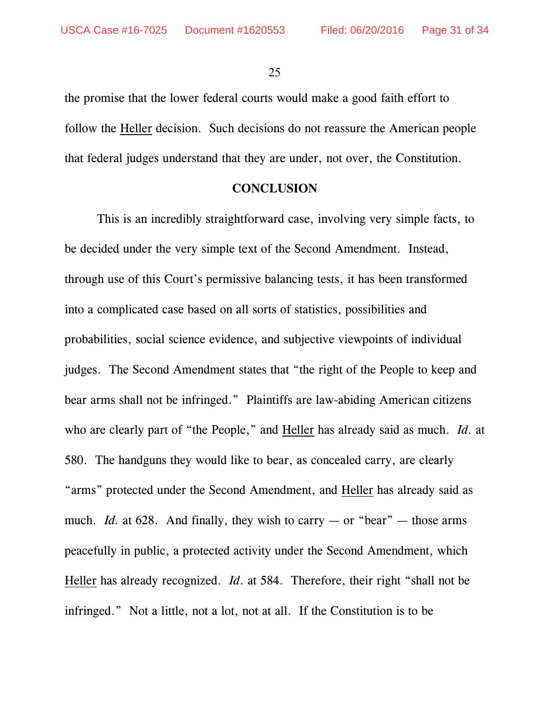the promise that the lower federal courts would make a good faith effort to follow the Heller decision. Such decisions do not reassure the American people that federal judges understand that they are under, not over, the Constitution.

#### **CONCLUSION**

This is an incredibly straightforward case, involving very simple facts, to be decided under the very simple text of the Second Amendment. Instead, through use of this Court's permissive balancing tests, it has been transformed into a complicated case based on all sorts of statistics, possibilities and probabilities, social science evidence, and subjective viewpoints of individual judges. The Second Amendment states that "the right of the People to keep and bear arms shall not be infringed." Plaintiffs are law-abiding American citizens who are clearly part of "the People," and Heller has already said as much. *Id*. at 580. The handguns they would like to bear, as concealed carry, are clearly "arms" protected under the Second Amendment, and Heller has already said as much. *Id.* at 628. And finally, they wish to carry — or "bear" — those arms peacefully in public, a protected activity under the Second Amendment, which Heller has already recognized. *Id*. at 584. Therefore, their right "shall not be infringed." Not a little, not a lot, not at all. If the Constitution is to be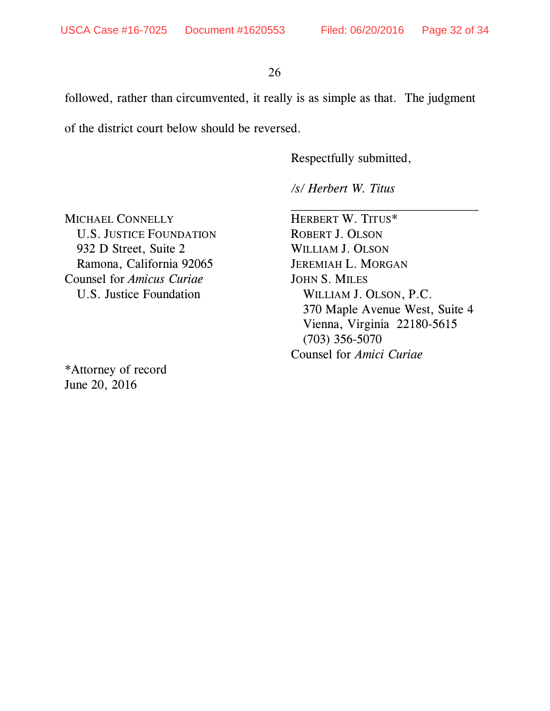followed, rather than circumvented, it really is as simple as that. The judgment

of the district court below should be reversed.

Respectfully submitted,

*/s/ Herbert W. Titus*

MICHAEL CONNELLY HERBERT W. TITUS\* U.S. JUSTICE FOUNDATION ROBERT J. OLSON 932 D Street, Suite 2 WILLIAM J. OLSON Ramona, California 92065 JEREMIAH L. MORGAN Counsel for *Amicus Curiae* JOHN S. MILES U.S. Justice Foundation WILLIAM J. OLSON, P.C.

\*Attorney of record June 20, 2016

370 Maple Avenue West, Suite 4 Vienna, Virginia 22180-5615 (703) 356-5070 Counsel for *Amici Curiae*

\_\_\_\_\_\_\_\_\_\_\_\_\_\_\_\_\_\_\_\_\_\_\_\_\_\_\_\_\_\_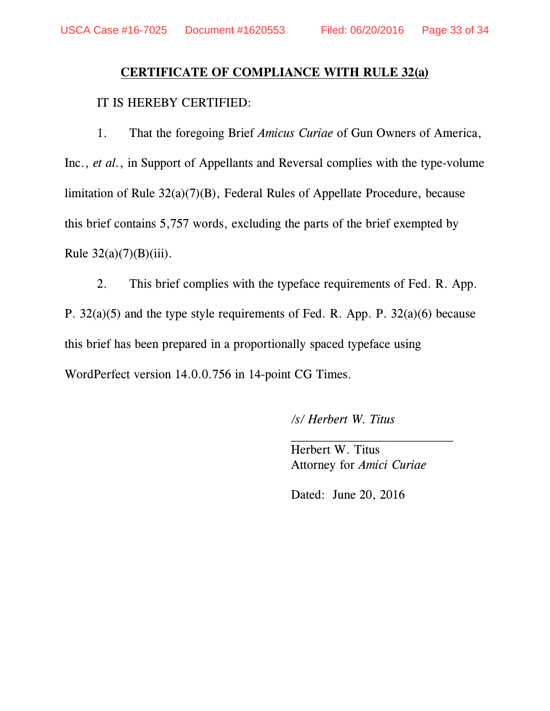# **CERTIFICATE OF COMPLIANCE WITH RULE 32(a)**

#### IT IS HEREBY CERTIFIED:

1. That the foregoing Brief *Amicus Curiae* of Gun Owners of America, Inc., *et al.*, in Support of Appellants and Reversal complies with the type-volume limitation of Rule 32(a)(7)(B), Federal Rules of Appellate Procedure, because this brief contains 5,757 words, excluding the parts of the brief exempted by Rule  $32(a)(7)(B)(iii)$ .

2. This brief complies with the typeface requirements of Fed. R. App. P. 32(a)(5) and the type style requirements of Fed. R. App. P. 32(a)(6) because this brief has been prepared in a proportionally spaced typeface using WordPerfect version 14.0.0.756 in 14-point CG Times.

*/s/ Herbert W. Titus*

Herbert W. Titus Attorney for *Amici Curiae*

 $\overline{\phantom{a}}$  , where  $\overline{\phantom{a}}$ 

Dated: June 20, 2016